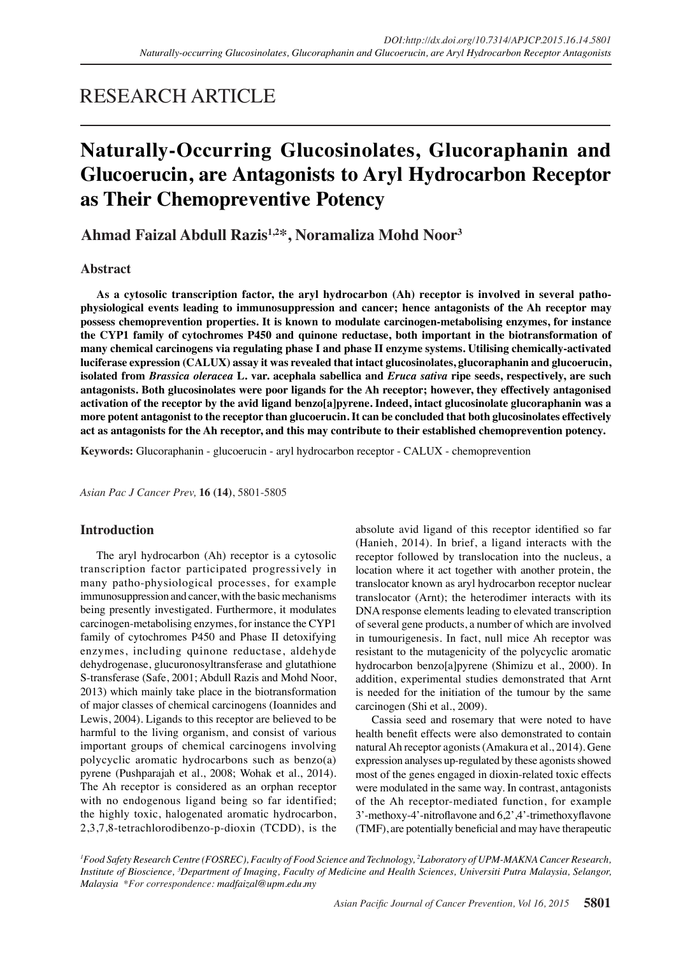## RESEARCH ARTICLE

# **Naturally-Occurring Glucosinolates, Glucoraphanin and Glucoerucin, are Antagonists to Aryl Hydrocarbon Receptor as Their Chemopreventive Potency**

**Ahmad Faizal Abdull Razis1,2\*, Noramaliza Mohd Noor3**

## **Abstract**

**As a cytosolic transcription factor, the aryl hydrocarbon (Ah) receptor is involved in several pathophysiological events leading to immunosuppression and cancer; hence antagonists of the Ah receptor may possess chemoprevention properties. It is known to modulate carcinogen-metabolising enzymes, for instance the CYP1 family of cytochromes P450 and quinone reductase, both important in the biotransformation of many chemical carcinogens via regulating phase I and phase II enzyme systems. Utilising chemically-activated luciferase expression (CALUX) assay it was revealed that intact glucosinolates, glucoraphanin and glucoerucin, isolated from** *Brassica oleracea* **L. var. acephala sabellica and** *Eruca sativa* **ripe seeds, respectively, are such antagonists. Both glucosinolates were poor ligands for the Ah receptor; however, they effectively antagonised activation of the receptor by the avid ligand benzo[a]pyrene. Indeed, intact glucosinolate glucoraphanin was a more potent antagonist to the receptor than glucoerucin. It can be concluded that both glucosinolates effectively act as antagonists for the Ah receptor, and this may contribute to their established chemoprevention potency.**

**Keywords:** Glucoraphanin - glucoerucin - aryl hydrocarbon receptor - CALUX - chemoprevention

*Asian Pac J Cancer Prev,* **16 (14)**, 5801-5805

## **Introduction**

The aryl hydrocarbon (Ah) receptor is a cytosolic transcription factor participated progressively in many patho-physiological processes, for example immunosuppression and cancer, with the basic mechanisms being presently investigated. Furthermore, it modulates carcinogen-metabolising enzymes, for instance the CYP1 family of cytochromes P450 and Phase II detoxifying enzymes, including quinone reductase, aldehyde dehydrogenase, glucuronosyltransferase and glutathione S-transferase (Safe, 2001; Abdull Razis and Mohd Noor, 2013) which mainly take place in the biotransformation of major classes of chemical carcinogens (Ioannides and Lewis, 2004). Ligands to this receptor are believed to be harmful to the living organism, and consist of various important groups of chemical carcinogens involving polycyclic aromatic hydrocarbons such as benzo(a) pyrene (Pushparajah et al., 2008; Wohak et al., 2014). The Ah receptor is considered as an orphan receptor with no endogenous ligand being so far identified; the highly toxic, halogenated aromatic hydrocarbon, 2,3,7,8-tetrachlorodibenzo-p-dioxin (TCDD), is the absolute avid ligand of this receptor identified so far (Hanieh, 2014). In brief, a ligand interacts with the receptor followed by translocation into the nucleus, a location where it act together with another protein, the translocator known as aryl hydrocarbon receptor nuclear translocator (Arnt); the heterodimer interacts with its DNA response elements leading to elevated transcription of several gene products, a number of which are involved in tumourigenesis. In fact, null mice Ah receptor was resistant to the mutagenicity of the polycyclic aromatic hydrocarbon benzo[a]pyrene (Shimizu et al., 2000). In addition, experimental studies demonstrated that Arnt is needed for the initiation of the tumour by the same carcinogen (Shi et al., 2009).

Cassia seed and rosemary that were noted to have health benefit effects were also demonstrated to contain natural Ah receptor agonists (Amakura et al., 2014). Gene expression analyses up-regulated by these agonists showed most of the genes engaged in dioxin-related toxic effects were modulated in the same way. In contrast, antagonists of the Ah receptor-mediated function, for example 3'-methoxy-4'-nitroflavone and 6,2',4'-trimethoxyflavone (TMF), are potentially beneficial and may have therapeutic

*1 Food Safety Research Centre (FOSREC), Faculty of Food Science and Technology, 2 Laboratory of UPM-MAKNA Cancer Research, Institute of Bioscience, 3 Department of Imaging, Faculty of Medicine and Health Sciences, Universiti Putra Malaysia, Selangor, Malaysia \*For correspondence: madfaizal@upm.edu.my*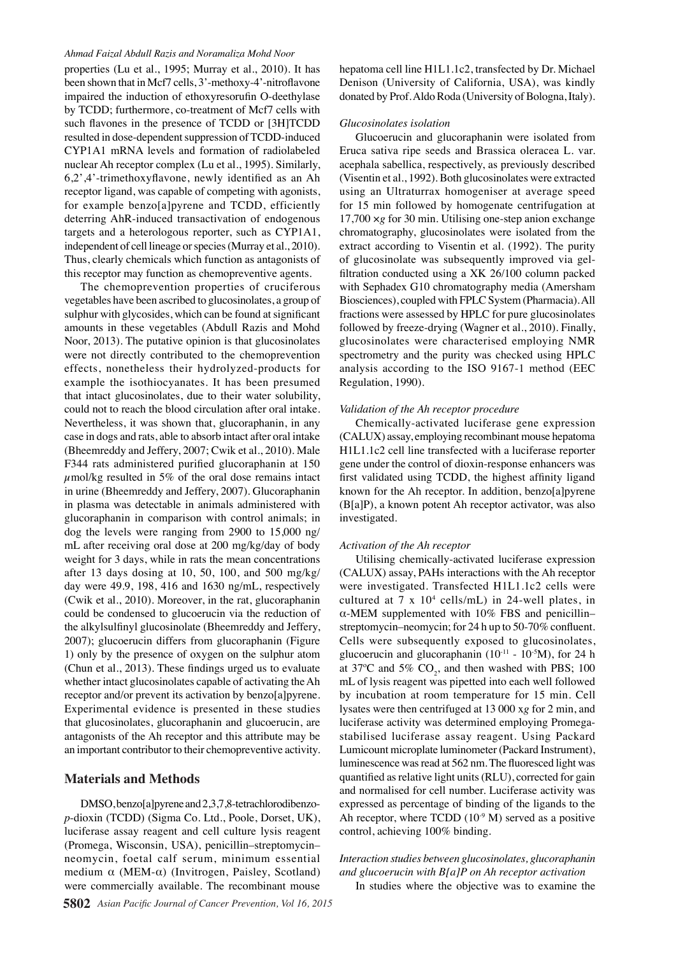#### *Ahmad Faizal Abdull Razis and Noramaliza Mohd Noor*

properties (Lu et al., 1995; Murray et al., 2010). It has been shown that in Mcf7 cells, 3'-methoxy-4'-nitroflavone impaired the induction of ethoxyresorufin O-deethylase by TCDD; furthermore, co-treatment of Mcf7 cells with such flavones in the presence of TCDD or [3H]TCDD resulted in dose-dependent suppression of TCDD-induced CYP1A1 mRNA levels and formation of radiolabeled nuclear Ah receptor complex (Lu et al., 1995). Similarly, 6,2',4'-trimethoxyflavone, newly identified as an Ah receptor ligand, was capable of competing with agonists, for example benzo[a]pyrene and TCDD, efficiently deterring AhR-induced transactivation of endogenous targets and a heterologous reporter, such as CYP1A1, independent of cell lineage or species (Murray et al., 2010). Thus, clearly chemicals which function as antagonists of this receptor may function as chemopreventive agents.

The chemoprevention properties of cruciferous vegetables have been ascribed to glucosinolates, a group of sulphur with glycosides, which can be found at significant amounts in these vegetables (Abdull Razis and Mohd Noor, 2013). The putative opinion is that glucosinolates were not directly contributed to the chemoprevention effects, nonetheless their hydrolyzed-products for example the isothiocyanates. It has been presumed that intact glucosinolates, due to their water solubility, could not to reach the blood circulation after oral intake. Nevertheless, it was shown that, glucoraphanin, in any case in dogs and rats, able to absorb intact after oral intake (Bheemreddy and Jeffery, 2007; Cwik et al., 2010). Male F344 rats administered purified glucoraphanin at 150  $\mu$ mol/kg resulted in 5% of the oral dose remains intact in urine (Bheemreddy and Jeffery, 2007). Glucoraphanin in plasma was detectable in animals administered with glucoraphanin in comparison with control animals; in dog the levels were ranging from 2900 to 15,000 ng/ mL after receiving oral dose at 200 mg/kg/day of body weight for 3 days, while in rats the mean concentrations after 13 days dosing at 10, 50, 100, and 500 mg/kg/ day were 49.9, 198, 416 and 1630 ng/mL, respectively (Cwik et al., 2010). Moreover, in the rat, glucoraphanin could be condensed to glucoerucin via the reduction of the alkylsulfinyl glucosinolate (Bheemreddy and Jeffery, 2007); glucoerucin differs from glucoraphanin (Figure 1) only by the presence of oxygen on the sulphur atom (Chun et al., 2013). These findings urged us to evaluate whether intact glucosinolates capable of activating the Ah receptor and/or prevent its activation by benzo[a]pyrene. Experimental evidence is presented in these studies that glucosinolates, glucoraphanin and glucoerucin, are antagonists of the Ah receptor and this attribute may be an important contributor to their chemopreventive activity.

## **Materials and Methods**

DMSO, benzo[a]pyrene and 2,3,7,8-tetrachlorodibenzo*p*-dioxin (TCDD) (Sigma Co. Ltd., Poole, Dorset, UK), luciferase assay reagent and cell culture lysis reagent (Promega, Wisconsin, USA), penicillin–streptomycin– neomycin, foetal calf serum, minimum essential medium  $\alpha$  (MEM- $\alpha$ ) (Invitrogen, Paisley, Scotland) were commercially available. The recombinant mouse

hepatoma cell line H1L1.1c2, transfected by Dr. Michael Denison (University of California, USA), was kindly donated by Prof. Aldo Roda (University of Bologna, Italy).

#### *Glucosinolates isolation*

Glucoerucin and glucoraphanin were isolated from Eruca sativa ripe seeds and Brassica oleracea L. var. acephala sabellica, respectively, as previously described (Visentin et al., 1992). Both glucosinolates were extracted using an Ultraturrax homogeniser at average speed for 15 min followed by homogenate centrifugation at 17,700 ×*g* for 30 min. Utilising one-step anion exchange chromatography, glucosinolates were isolated from the extract according to Visentin et al. (1992). The purity of glucosinolate was subsequently improved via gelfiltration conducted using a XK 26/100 column packed with Sephadex G10 chromatography media (Amersham Biosciences), coupled with FPLC System (Pharmacia). All fractions were assessed by HPLC for pure glucosinolates followed by freeze-drying (Wagner et al., 2010). Finally, glucosinolates were characterised employing NMR spectrometry and the purity was checked using HPLC analysis according to the ISO 9167-1 method (EEC Regulation, 1990).

#### *Validation of the Ah receptor procedure*

Chemically-activated luciferase gene expression (CALUX) assay, employing recombinant mouse hepatoma H1L1.1c2 cell line transfected with a luciferase reporter gene under the control of dioxin-response enhancers was first validated using TCDD, the highest affinity ligand known for the Ah receptor. In addition, benzo[a]pyrene (B[a]P), a known potent Ah receptor activator, was also investigated.

#### *Activation of the Ah receptor*

Utilising chemically-activated luciferase expression (CALUX) assay, PAHs interactions with the Ah receptor were investigated. Transfected H1L1.1c2 cells were cultured at  $7 \times 10^4$  cells/mL) in 24-well plates, in α-MEM supplemented with 10% FBS and penicillin– streptomycin–neomycin; for 24 h up to 50-70% confluent. Cells were subsequently exposed to glucosinolates, glucoerucin and glucoraphanin ( $10^{-11}$  -  $10^{-5}$ M), for 24 h at 37°C and 5%  $CO_2$ , and then washed with PBS; 100 mL of lysis reagent was pipetted into each well followed by incubation at room temperature for 15 min. Cell lysates were then centrifuged at 13 000 x*g* for 2 min, and luciferase activity was determined employing Promegastabilised luciferase assay reagent. Using Packard Lumicount microplate luminometer (Packard Instrument), luminescence was read at 562 nm. The fluoresced light was quantified as relative light units (RLU), corrected for gain and normalised for cell number. Luciferase activity was expressed as percentage of binding of the ligands to the Ah receptor, where TCDD  $(10^{-9}$  M) served as a positive control, achieving 100% binding.

## *Interaction studies between glucosinolates, glucoraphanin and glucoerucin with B[a]P on Ah receptor activation*

In studies where the objective was to examine the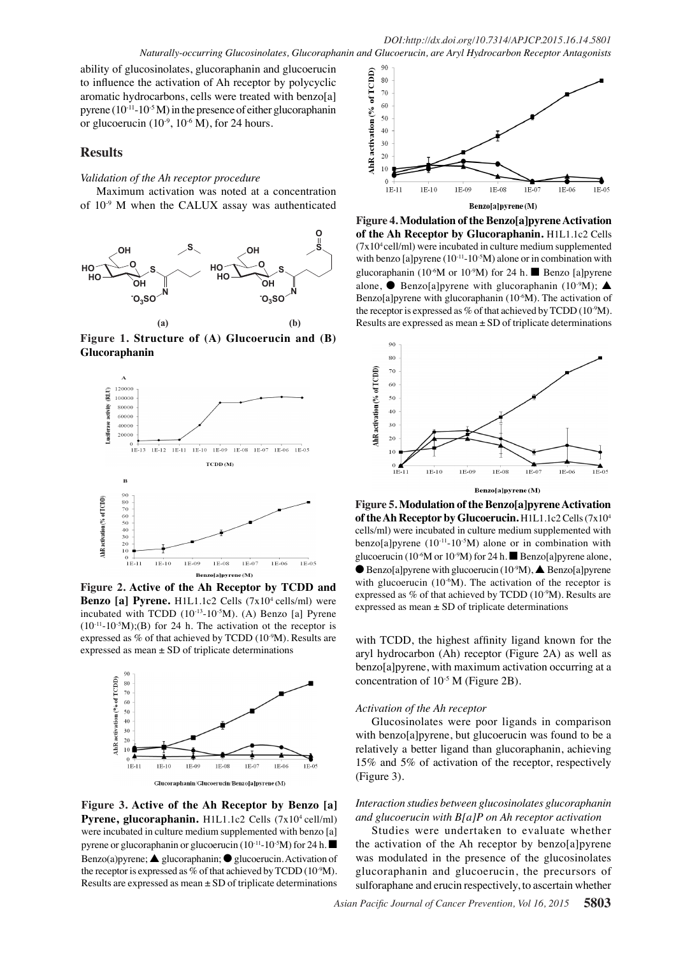ability of glucosinolates, glucoraphanin and glucoerucin to influence the activation of Ah receptor by polycyclic aromatic hydrocarbons, cells were treated with benzo[a] pyrene  $(10^{-11}-10^{-5} M)$  in the presence of either glucoraphanin or glucoerucin  $(10^{-9}, 10^{-6} \text{ M})$ , for 24 hours.

## **Results**

### *Validation of the Ah receptor procedure*

Maximum activation was noted at a concentration of 10-9 M when the CALUX assay was authenticated



**Figure 1. Structure of (A) Glucoerucin and (B)**  $\tilde{B}$ **Glucoraphanin**



**Figure 2. Active of the Ah Receptor by TCDD and 00.0** with glucoerucin  $(10^{-6}M)$ . The activation of the receptor is Benzo [a] Pyrene. H1L1.1c2 Cells (7x10<sup>4</sup> cells/ml) were incubated with TCDD  $(10^{-13}-10^{-5}M)$ . (A) Benzo [a] Pyrene expressed as mean  $\pm$  SD of triplicate determinations



**Figure 3. Active of the Ah Receptor by Benzo [a]**  Figure 3. Active of the Ah Receptor by Benzo [a]<br>Pyrene, glucoraphanin. H1L1.1c2 Cells (7x10<sup>4</sup> cell/ml) were incubated in culture medium supplemented with benzo [a] pyrene or glucoraphanin or glucoerucin ( $10^{-11}$ - $10^{-5}$ M) for 24 h. Benzo(a)pyrene;  $\triangle$  glucoraphanin;  $\odot$  glucoerucin. Activation of the receptor is expressed as % of that achieved by TCDD ( $10^9$ M). Results are expressed as mean  $\pm$  SD of triplicate determinations



alone,  $\bullet$  Benzo[a]pyrene with glucoraphanin (10<sup>-9</sup>M);  $\blacktriangle$ glucoraphanin (10<sup>-6</sup>M or 10<sup>-9</sup>M) for 24 h. Benzo [a]pyrene Benzo[a]pyrene with glucoraphanin  $(10^{-6}M)$ . The activation of (7x10<sup>4</sup> cell/ml) were incubated in culture medium supplemented **of the Ah Receptor by Glucoraphanin.** H1L1.1c2 Cells **(a) (b)** Results are expressed as mean ± SD of triplicate determinations **Figure 4. Modulation of the Benzo[a]pyrene Activation**  with benzo [a]pyrene  $(10^{-11} - 10^{-5}M)$  alone or in combination with glucoral diverse  $\frac{1}{2}$ the receptor is expressed as % of that achieved by  $T CDD (10<sup>-9</sup>M)$ .



**Figure 5. Modulation of the Benzo[a]pyrene Activation of the Ah Receptor by Glucoerucin.**  $\text{H1L1.1c2}$  Cells (7x10<sup>4</sup> cells/ml) were incubated in culture medium supplemented with benzo[a]pyrene  $(10^{-11} - 10^{-5}M)$  alone or in combination with glucoerucin (10<sup>-6</sup>M or 10<sup>-9</sup>M) for 24 h. Benzo[a]pyrene alone, Benzo[a]pyrene with glucoerucin  $(10^{-9}M)$ , A Benzo[a]pyrene

expressed as mean ± 1901 of triplicate determinations expressed as  $\%$  of that achieved by TCDD (10 $\degree$ M). Results are



Remission *Interaction studies between glueosinolate@glucoraphanin and glucoerucin with B[a]P on Ah receptor activation*

Newly diagnosed with diagnosed with the treatment Hughigali shi.保peso4beg AlgeN Persistence or recurrence Studies were undertaken to evaluate whether the activation of the Ah receptor by benzo[a]pyrene was modellated in the presence of the glucosinolates glucoraphanin and glucoerncin, the precursors of sulforaph $\mathbf{g}$ e and eru $\mathbf{g}$ in respec $\mathbf{g}$ ively, to ascertain whether

None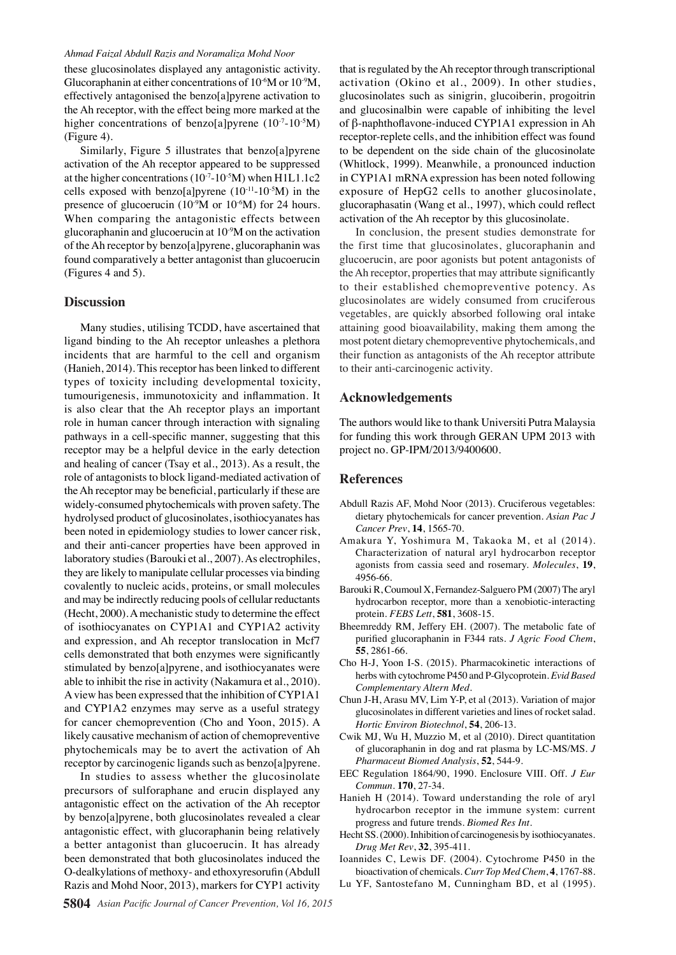#### *Ahmad Faizal Abdull Razis and Noramaliza Mohd Noor*

these glucosinolates displayed any antagonistic activity. Glucoraphanin at either concentrations of  $10^{-6}M$  or  $10^{-9}M$ , effectively antagonised the benzo[a]pyrene activation to the Ah receptor, with the effect being more marked at the higher concentrations of benzo[a]pyrene  $(10^{-7}-10^{-5}M)$ (Figure 4).

Similarly, Figure 5 illustrates that benzo[a]pyrene activation of the Ah receptor appeared to be suppressed at the higher concentrations  $(10^{-7}-10^{-5}M)$  when H1L1.1c2 cells exposed with benzo[a]pyrene  $(10^{-11}-10^{-5}M)$  in the presence of glucoerucin ( $10^{-9}M$  or  $10^{-6}M$ ) for 24 hours. When comparing the antagonistic effects between glucoraphanin and glucoerucin at 10-9M on the activation of the Ah receptor by benzo[a]pyrene, glucoraphanin was found comparatively a better antagonist than glucoerucin (Figures 4 and 5).

## **Discussion**

Many studies, utilising TCDD, have ascertained that ligand binding to the Ah receptor unleashes a plethora incidents that are harmful to the cell and organism (Hanieh, 2014). This receptor has been linked to different types of toxicity including developmental toxicity, tumourigenesis, immunotoxicity and inflammation. It is also clear that the Ah receptor plays an important role in human cancer through interaction with signaling pathways in a cell-specific manner, suggesting that this receptor may be a helpful device in the early detection and healing of cancer (Tsay et al., 2013). As a result, the role of antagonists to block ligand-mediated activation of the Ah receptor may be beneficial, particularly if these are widely-consumed phytochemicals with proven safety. The hydrolysed product of glucosinolates, isothiocyanates has been noted in epidemiology studies to lower cancer risk, and their anti-cancer properties have been approved in laboratory studies (Barouki et al., 2007). As electrophiles, they are likely to manipulate cellular processes via binding covalently to nucleic acids, proteins, or small molecules and may be indirectly reducing pools of cellular reductants (Hecht, 2000). A mechanistic study to determine the effect of isothiocyanates on CYP1A1 and CYP1A2 activity and expression, and Ah receptor translocation in Mcf7 cells demonstrated that both enzymes were significantly stimulated by benzo[a]pyrene, and isothiocyanates were able to inhibit the rise in activity (Nakamura et al., 2010). A view has been expressed that the inhibition of CYP1A1 and CYP1A2 enzymes may serve as a useful strategy for cancer chemoprevention (Cho and Yoon, 2015). A likely causative mechanism of action of chemopreventive phytochemicals may be to avert the activation of Ah receptor by carcinogenic ligands such as benzo[a]pyrene.

In studies to assess whether the glucosinolate precursors of sulforaphane and erucin displayed any antagonistic effect on the activation of the Ah receptor by benzo[a]pyrene, both glucosinolates revealed a clear antagonistic effect, with glucoraphanin being relatively a better antagonist than glucoerucin. It has already been demonstrated that both glucosinolates induced the O-dealkylations of methoxy- and ethoxyresorufin (Abdull Razis and Mohd Noor, 2013), markers for CYP1 activity

that is regulated by the Ah receptor through transcriptional activation (Okino et al., 2009). In other studies, glucosinolates such as sinigrin, glucoiberin, progoitrin and glucosinalbin were capable of inhibiting the level of β-naphthoflavone-induced CYP1A1 expression in Ah receptor-replete cells, and the inhibition effect was found to be dependent on the side chain of the glucosinolate (Whitlock, 1999). Meanwhile, a pronounced induction in CYP1A1 mRNA expression has been noted following exposure of HepG2 cells to another glucosinolate, glucoraphasatin (Wang et al., 1997), which could reflect activation of the Ah receptor by this glucosinolate.

In conclusion, the present studies demonstrate for the first time that glucosinolates, glucoraphanin and glucoerucin, are poor agonists but potent antagonists of the Ah receptor, properties that may attribute significantly to their established chemopreventive potency. As glucosinolates are widely consumed from cruciferous vegetables, are quickly absorbed following oral intake attaining good bioavailability, making them among the most potent dietary chemopreventive phytochemicals, and their function as antagonists of the Ah receptor attribute to their anti-carcinogenic activity.

## **Acknowledgements**

The authors would like to thank Universiti Putra Malaysia for funding this work through GERAN UPM 2013 with project no. GP-IPM/2013/9400600.

#### **References**

- Abdull Razis AF, Mohd Noor (2013). Cruciferous vegetables: dietary phytochemicals for cancer prevention. *Asian Pac J Cancer Prev*, **14**, 1565-70.
- Amakura Y, Yoshimura M, Takaoka M, et al (2014). Characterization of natural aryl hydrocarbon receptor agonists from cassia seed and rosemary. *Molecules*, **19**, 4956-66.
- Barouki R, Coumoul X, Fernandez-Salguero PM (2007) The aryl hydrocarbon receptor, more than a xenobiotic-interacting protein. *FEBS Lett*, **581**, 3608-15.
- Bheemreddy RM, Jeffery EH. (2007). The metabolic fate of purified glucoraphanin in F344 rats. *J Agric Food Chem*, **55**, 2861-66.
- Cho H-J, Yoon I-S. (2015). Pharmacokinetic interactions of herbs with cytochrome P450 and P-Glycoprotein. *Evid Based Complementary Altern Med*.
- Chun J-H, Arasu MV, Lim Y-P, et al (2013). Variation of major glucosinolates in different varieties and lines of rocket salad. *Hortic Environ Biotechnol*, **54**, 206-13.
- Cwik MJ, Wu H, Muzzio M, et al (2010). Direct quantitation of glucoraphanin in dog and rat plasma by LC-MS/MS. *J Pharmaceut Biomed Analysis*, **52**, 544-9.
- EEC Regulation 1864/90, 1990. Enclosure VIII. Off. *J Eur Commun*. **170**, 27-34.
- Hanieh H (2014). Toward understanding the role of aryl hydrocarbon receptor in the immune system: current progress and future trends. *Biomed Res Int*.
- Hecht SS. (2000). Inhibition of carcinogenesis by isothiocyanates. *Drug Met Rev*, **32**, 395-411.
- Ioannides C, Lewis DF. (2004). Cytochrome P450 in the bioactivation of chemicals. *Curr Top Med Chem*, **4**, 1767-88.
- Lu YF, Santostefano M, Cunningham BD, et al (1995).